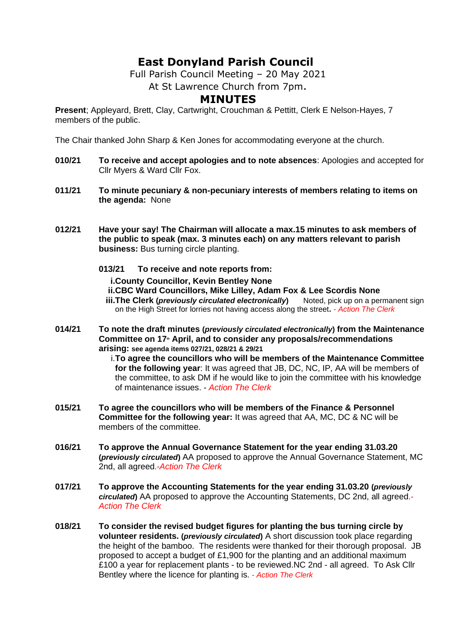## **East Donyland Parish Council**

Full Parish Council Meeting – 20 May 2021

At St Lawrence Church from 7pm.

## **MINUTES**

**Present**; Appleyard, Brett, Clay, Cartwright, Crouchman & Pettitt, Clerk E Nelson-Hayes, 7 members of the public.

The Chair thanked John Sharp & Ken Jones for accommodating everyone at the church.

- **010/21 To receive and accept apologies and to note absences**: Apologies and accepted for Cllr Myers & Ward Cllr Fox.
- **011/21 To minute pecuniary & non-pecuniary interests of members relating to items on the agenda:** None
- **012/21 Have your say! The Chairman will allocate a max.15 minutes to ask members of the public to speak (max. 3 minutes each) on any matters relevant to parish business:** Bus turning circle planting.
	- **013/21 To receive and note reports from: i.County Councillor, Kevin Bentley None ii.CBC Ward Councillors, Mike Lilley, Adam Fox & Lee Scordis None iii.The Clerk (***previously circulated electronically***)** Noted, pick up on a permanent sign on the High Street for lorries not having access along the street**.** *- Action The Clerk*
- **014/21 To note the draft minutes (***previously circulated electronically***) from the Maintenance Committee on 17th April, and to consider any proposals/recommendations arising: see agenda items 027/21, 028/21 & 29/21**

i.**To agree the councillors who will be members of the Maintenance Committee for the following year**: It was agreed that JB, DC, NC, IP, AA will be members of the committee, to ask DM if he would like to join the committee with his knowledge of maintenance issues. - *Action The Clerk*

- **015/21 To agree the councillors who will be members of the Finance & Personnel Committee for the following year:** It was agreed that AA, MC, DC & NC will be members of the committee.
- **016/21 To approve the Annual Governance Statement for the year ending 31.03.20 (***previously circulated***)** AA proposed to approve the Annual Governance Statement, MC 2nd, all agreed.*-Action The Clerk*
- **017/21 To approve the Accounting Statements for the year ending 31.03.20 (***previously circulated***)** AA proposed to approve the Accounting Statements, DC 2nd, all agreed.*- Action The Clerk*
- **018/21 To consider the revised budget figures for planting the bus turning circle by volunteer residents. (***previously circulated***)** A short discussion took place regarding the height of the bamboo. The residents were thanked for their thorough proposal. JB proposed to accept a budget of £1,900 for the planting and an additional maximum £100 a year for replacement plants - to be reviewed.NC 2nd - all agreed. To Ask Cllr Bentley where the licence for planting is. *- Action The Clerk*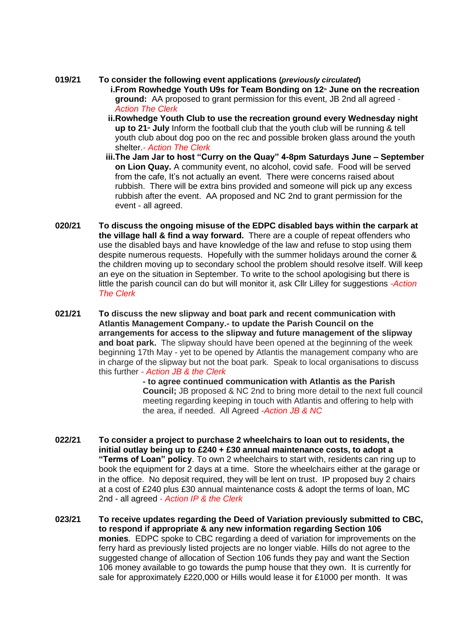**019/21 To consider the following event applications (***previously circulated***) i.From Rowhedge Youth U9s for Team Bonding on 12th June on the recreation ground:** AA proposed to grant permission for this event, JB 2nd all agreed *- Action The Clerk*

- **ii.Rowhedge Youth Club to use the recreation ground every Wednesday night up to 21st July** Inform the football club that the youth club will be running & tell youth club about dog poo on the rec and possible broken glass around the youth shelter.*- Action The Clerk*
- **iii.The Jam Jar to host "Curry on the Quay" 4-8pm Saturdays June – September on Lion Quay.** A community event, no alcohol, covid safe. Food will be served from the cafe, It's not actually an event. There were concerns raised about rubbish. There will be extra bins provided and someone will pick up any excess rubbish after the event. AA proposed and NC 2nd to grant permission for the event - all agreed.
- **020/21 To discuss the ongoing misuse of the EDPC disabled bays within the carpark at the village hall & find a way forward.** There are a couple of repeat offenders who use the disabled bays and have knowledge of the law and refuse to stop using them despite numerous requests. Hopefully with the summer holidays around the corner & the children moving up to secondary school the problem should resolve itself. Will keep an eye on the situation in September. To write to the school apologising but there is little the parish council can do but will monitor it, ask Cllr Lilley for suggestions *-Action The Clerk*
- **021/21 To discuss the new slipway and boat park and recent communication with Atlantis Management Company.- to update the Parish Council on the arrangements for access to the slipway and future management of the slipway and boat park.** The slipway should have been opened at the beginning of the week beginning 17th May - yet to be opened by Atlantis the management company who are in charge of the slipway but not the boat park. Speak to local organisations to discuss this further *- Action JB & the Clerk*

**- to agree continued communication with Atlantis as the Parish Council;** JB proposed & NC 2nd to bring more detail to the next full council meeting regarding keeping in touch with Atlantis and offering to help with the area, if needed. All Agreed *-Action JB & NC*

- **022/21 To consider a project to purchase 2 wheelchairs to loan out to residents, the initial outlay being up to £240 + £30 annual maintenance costs, to adopt a "Terms of Loan" policy**. To own 2 wheelchairs to start with, residents can ring up to book the equipment for 2 days at a time. Store the wheelchairs either at the garage or in the office. No deposit required, they will be lent on trust. IP proposed buy 2 chairs at a cost of £240 plus £30 annual maintenance costs & adopt the terms of loan, MC 2nd - all agreed *- Action IP & the Clerk*
- **023/21 To receive updates regarding the Deed of Variation previously submitted to CBC, to respond if appropriate & any new information regarding Section 106 monies**. EDPC spoke to CBC regarding a deed of variation for improvements on the ferry hard as previously listed projects are no longer viable. Hills do not agree to the suggested change of allocation of Section 106 funds they pay and want the Section 106 money available to go towards the pump house that they own. It is currently for sale for approximately £220,000 or Hills would lease it for £1000 per month. It was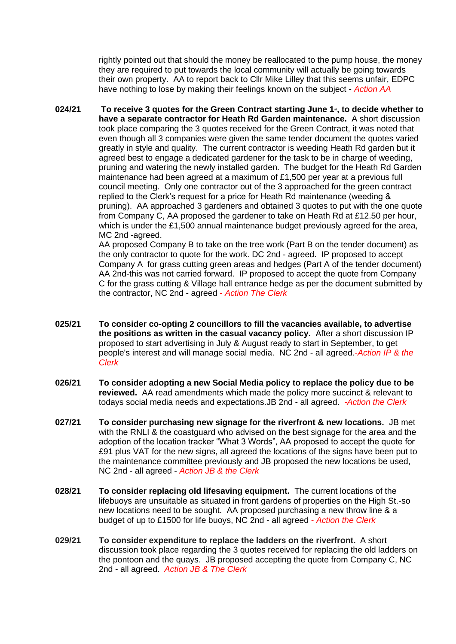rightly pointed out that should the money be reallocated to the pump house, the money they are required to put towards the local community will actually be going towards their own property. AA to report back to Cllr Mike Lilley that this seems unfair, EDPC have nothing to lose by making their feelings known on the subject - *Action AA*

**024/21 To receive 3 quotes for the Green Contract starting June 1st, to decide whether to have a separate contractor for Heath Rd Garden maintenance.** A short discussion took place comparing the 3 quotes received for the Green Contract, it was noted that even though all 3 companies were given the same tender document the quotes varied greatly in style and quality. The current contractor is weeding Heath Rd garden but it agreed best to engage a dedicated gardener for the task to be in charge of weeding, pruning and watering the newly installed garden. The budget for the Heath Rd Garden maintenance had been agreed at a maximum of  $£1,500$  per year at a previous full council meeting. Only one contractor out of the 3 approached for the green contract replied to the Clerk's request for a price for Heath Rd maintenance (weeding & pruning). AA approached 3 gardeners and obtained 3 quotes to put with the one quote from Company C, AA proposed the gardener to take on Heath Rd at £12.50 per hour, which is under the £1,500 annual maintenance budget previously agreed for the area. MC 2nd -agreed.

AA proposed Company B to take on the tree work (Part B on the tender document) as the only contractor to quote for the work. DC 2nd - agreed. IP proposed to accept Company A for grass cutting green areas and hedges (Part A of the tender document) AA 2nd-this was not carried forward. IP proposed to accept the quote from Company C for the grass cutting & Village hall entrance hedge as per the document submitted by the contractor, NC 2nd - agreed *- Action The Clerk*

- **025/21 To consider co-opting 2 councillors to fill the vacancies available, to advertise the positions as written in the casual vacancy policy.** After a short discussion IP proposed to start advertising in July & August ready to start in September, to get people's interest and will manage social media. NC 2nd - all agreed.*-Action IP & the Clerk*
- **026/21 To consider adopting a new Social Media policy to replace the policy due to be reviewed.** AA read amendments which made the policy more succinct & relevant to todays social media needs and expectations.JB 2nd - all agreed. *-Action the Clerk*
- **027/21 To consider purchasing new signage for the riverfront & new locations.** JB met with the RNLI & the coastguard who advised on the best signage for the area and the adoption of the location tracker "What 3 Words", AA proposed to accept the quote for £91 plus VAT for the new signs, all agreed the locations of the signs have been put to the maintenance committee previously and JB proposed the new locations be used, NC 2nd - all agreed - *Action JB & the Clerk*
- **028/21 To consider replacing old lifesaving equipment.** The current locations of the lifebuoys are unsuitable as situated in front gardens of properties on the High St.-so new locations need to be sought. AA proposed purchasing a new throw line & a budget of up to £1500 for life buoys, NC 2nd - all agreed *- Action the Clerk*
- **029/21 To consider expenditure to replace the ladders on the riverfront.** A short discussion took place regarding the 3 quotes received for replacing the old ladders on the pontoon and the quays. JB proposed accepting the quote from Company C, NC 2nd - all agreed. *Action JB & The Clerk*